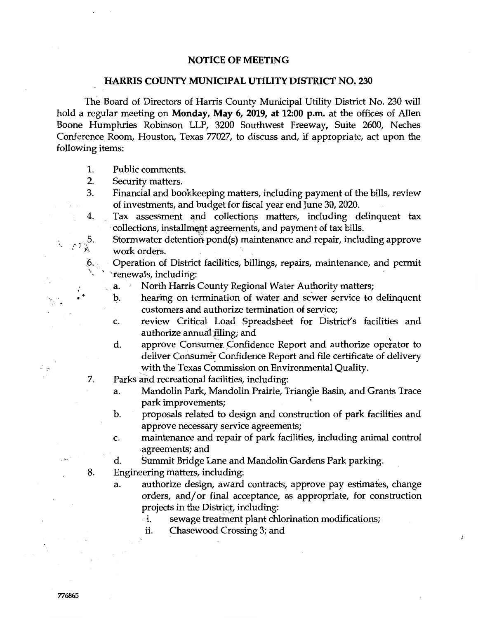## **NOTICE OF MEETING**

## **HARRIS COUNTY MUNICIPAL UTILITY DISTRICT NO. 230**

The Board of Directors of Harris County Municipal Utility District No. 230 will hold a regular meeting on **Monday, May 6, 2019, at 12:00 p.m.** at the offices of Allen Boone Humphries Robinson LLP, 3200 Southwest Freeway, Suite 2600, Neches Conference Room, Houston, Texas 77027, to discuss and, if appropriate, act upon the following items:

- 1. Public comments.
- 2. Security matters.
- 3. Financial and bookkeeping matters, including payment of the bills, review of investments, and budget for fiscal year end June 30, 2020.
- 4. Tax assessment and collections matters, including delinquent tax collections, installment agreements, and payment of tax bills.
	- Stormwater detention pond(s) maintenance and repair, including approve work orders.
- $6.$ Operation of District facilities, billings, repairs, maintenance, and permit ' 'renewals, including:
	- a. North Harris County Regional Water Authority matters;
	- h. hearing on termination of water and sewer service to delinquent customers and authorize termination of service;
	- c. review Critical Load Spreadsheet for District's facilities and authorize annual filing; and
	- d. approve Consumer Confidence Report and authorize operator to deliver Consumer Confidence Report and file certificate of delivery with the Texas Commission on Environmental Quality.
- 7. Parks and recreational facilities, including:
	- a. Mandolin Park, Mandolin Prairie, Triangle Basin, and Grants Trace park improvements;
	- b. proposals related to design and construction of park facilities and approve necessary service agreements;
	- c. maintenance and repair of park facilities, including animal control .agreements; and
	- d. Summit Bridge Lane and Mandolin Gardens Park parking.
- 8. Engineering matters, including:
	- a. authorize design, award contracts, approve pay estimates, change orders, and/or final acceptance, as appropriate, for construction projects in the District, including:

 $\vec{r}$ 

- · 1. sewage treatinent plant chlorination modifications;
- ii. Chasewood Crossing 3; and

 $\cdot$  •

\

5.